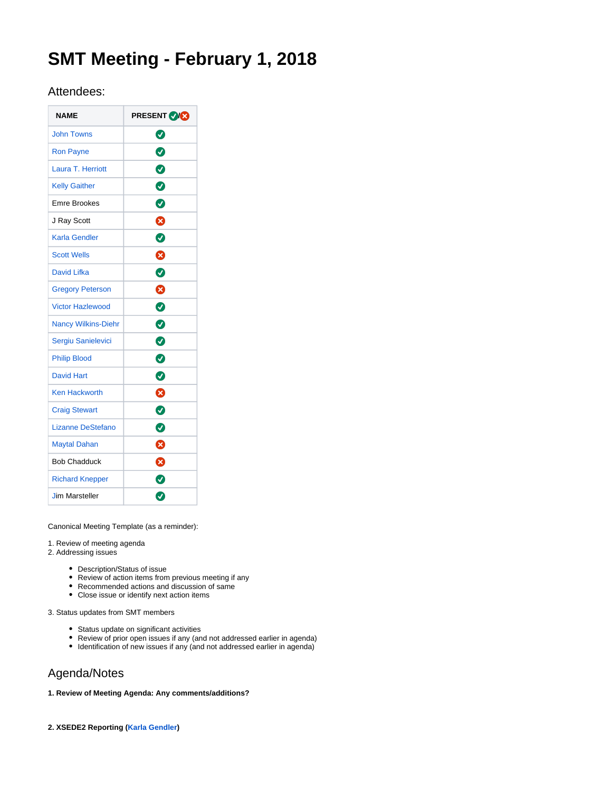# **SMT Meeting - February 1, 2018**

# Attendees:

| <b>NAME</b>                | <b>PRESENT VICE</b> |
|----------------------------|---------------------|
| <b>John Towns</b>          | Ø                   |
| <b>Ron Payne</b>           | $\bullet$           |
| Laura T. Herriott          | $\bullet$           |
| <b>Kelly Gaither</b>       | $\bullet$           |
| <b>Emre Brookes</b>        | Ø                   |
| J Ray Scott                | Ø                   |
| Karla Gendler              | Ø                   |
| <b>Scott Wells</b>         | 0                   |
| <b>David Lifka</b>         | Ø                   |
| <b>Gregory Peterson</b>    | 0                   |
| <b>Victor Hazlewood</b>    | $\bullet$           |
| <b>Nancy Wilkins-Diehr</b> | $\bullet$           |
| Sergiu Sanielevici         | $\bullet$           |
| <b>Philip Blood</b>        | $\bullet$           |
| <b>David Hart</b>          | $\bullet$           |
| <b>Ken Hackworth</b>       | 0                   |
| <b>Craig Stewart</b>       | $\bullet$           |
| <b>Lizanne DeStefano</b>   | Ø                   |
| <b>Maytal Dahan</b>        | ☎                   |
| <b>Bob Chadduck</b>        | ೞ                   |
| <b>Richard Knepper</b>     | 0                   |
| <b>Jim Marsteller</b>      | Ø                   |

Canonical Meeting Template (as a reminder):

1. Review of meeting agenda

2. Addressing issues

- Description/Status of issue
- Review of action items from previous meeting if any
- Recommended actions and discussion of same
- Close issue or identify next action items

3. Status updates from SMT members

- Status update on significant activities
- Review of prior open issues if any (and not addressed earlier in agenda)
- $\bullet$  Identification of new issues if any (and not addressed earlier in agenda)

# Agenda/Notes

**1. Review of Meeting Agenda: Any comments/additions?**

**2. XSEDE2 Reporting [\(Karla Gendler](https://confluence.xsede.org/display/~gendlerk))**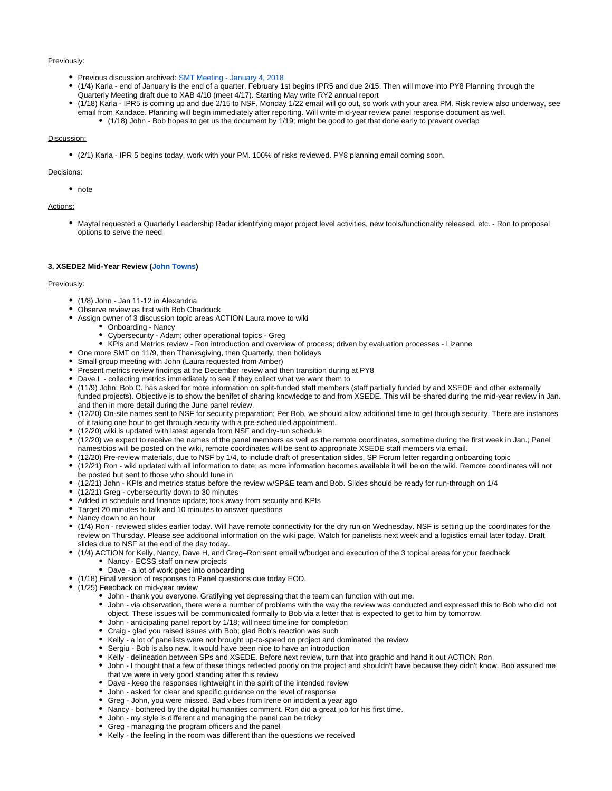# Previously:

- Previous discussion archived: [SMT Meeting January 4, 2018](https://confluence.xsede.org/display/XT/SMT+Meeting+-+January+4%2C+2018)
- (1/4) Karla end of January is the end of a quarter. February 1st begins IPR5 and due 2/15. Then will move into PY8 Planning through the Quarterly Meeting draft due to XAB 4/10 (meet 4/17). Starting May write RY2 annual report
- (1/18) Karla IPR5 is coming up and due 2/15 to NSF. Monday 1/22 email will go out, so work with your area PM. Risk review also underway, see email from Kandace. Planning will begin immediately after reporting. Will write mid-year review panel response document as well. (1/18) John - Bob hopes to get us the document by 1/19; might be good to get that done early to prevent overlap

# Discussion:

(2/1) Karla - IPR 5 begins today, work with your PM. 100% of risks reviewed. PY8 planning email coming soon.

# Decisions:

• note

# Actions:

Maytal requested a Quarterly Leadership Radar identifying major project level activities, new tools/functionality released, etc. - Ron to proposal options to serve the need

# **3. XSEDE2 Mid-Year Review [\(John Towns\)](https://confluence.xsede.org/display/~jtowns)**

### Previously:

- (1/8) John Jan 11-12 in Alexandria
- Observe review as first with Bob Chadduck
- Assign owner of 3 discussion topic areas ACTION Laura move to wiki
	- Onboarding Nancy
	- Cybersecurity Adam; other operational topics Greg
	- KPIs and Metrics review Ron introduction and overview of process; driven by evaluation processes Lizanne
- One more SMT on 11/9, then Thanksgiving, then Quarterly, then holidays
- Small group meeting with John (Laura requested from Amber)
- Present metrics review findings at the December review and then transition during at PY8
- Dave L collecting metrics immediately to see if they collect what we want them to
- (11/9) John: Bob C. has asked for more information on split-funded staff members (staff partially funded by and XSEDE and other externally funded projects). Objective is to show the benifet of sharing knowledge to and from XSEDE. This will be shared during the mid-year review in Jan. and then in more detail during the June panel review.
- (12/20) On-site names sent to NSF for security preparation; Per Bob, we should allow additional time to get through security. There are instances of it taking one hour to get through security with a pre-scheduled appointment.
- (12/20) wiki is updated with latest agenda from NSF and dry-run schedule
- (12/20) we expect to receive the names of the panel members as well as the remote coordinates, sometime during the first week in Jan.; Panel names/bios will be posted on the wiki, remote coordinates will be sent to appropriate XSEDE staff members via email.
- (12/20) Pre-review materials, due to NSF by 1/4, to include draft of presentation slides, SP Forum letter regarding onboarding topic
- (12/21) Ron wiki updated with all information to date; as more information becomes available it will be on the wiki. Remote coordinates will not be posted but sent to those who should tune in
- (12/21) John KPIs and metrics status before the review w/SP&E team and Bob. Slides should be ready for run-through on 1/4
- (12/21) Greg cybersecurity down to 30 minutes
- Added in schedule and finance update; took away from security and KPIs
- Target 20 minutes to talk and 10 minutes to answer questions
- Nancy down to an hour
- (1/4) Ron reviewed slides earlier today. Will have remote connectivity for the dry run on Wednesday. NSF is setting up the coordinates for the review on Thursday. Please see additional information on the wiki page. Watch for panelists next week and a logistics email later today. Draft slides due to NSF at the end of the day today.
- (1/4) ACTION for Kelly, Nancy, Dave H, and Greg–Ron sent email w/budget and execution of the 3 topical areas for your feedback • Nancy - ECSS staff on new projects
	- Dave a lot of work goes into onboarding
- (1/18) Final version of responses to Panel questions due today EOD.
- (1/25) Feedback on mid-year review
	- John thank you everyone. Gratifying yet depressing that the team can function with out me.
	- John via observation, there were a number of problems with the way the review was conducted and expressed this to Bob who did not object. These issues will be communicated formally to Bob via a letter that is expected to get to him by tomorrow.
	- John anticipating panel report by 1/18; will need timeline for completion
	- Craig glad you raised issues with Bob; glad Bob's reaction was such
	- Kelly a lot of panelists were not brought up-to-speed on project and dominated the review
	- Sergiu Bob is also new. It would have been nice to have an introduction
	- Kelly delineation between SPs and XSEDE. Before next review, turn that into graphic and hand it out ACTION Ron
	- John I thought that a few of these things reflected poorly on the project and shouldn't have because they didn't know. Bob assured me that we were in very good standing after this review
	- Dave keep the responses lightweight in the spirit of the intended review
	- John asked for clear and specific guidance on the level of response
	- Greg John, you were missed. Bad vibes from Irene on incident a year ago
	- Nancy bothered by the digital humanities comment. Ron did a great job for his first time.
	- John my style is different and managing the panel can be tricky
	- Greg managing the program officers and the panel
	- Kelly the feeling in the room was different than the questions we received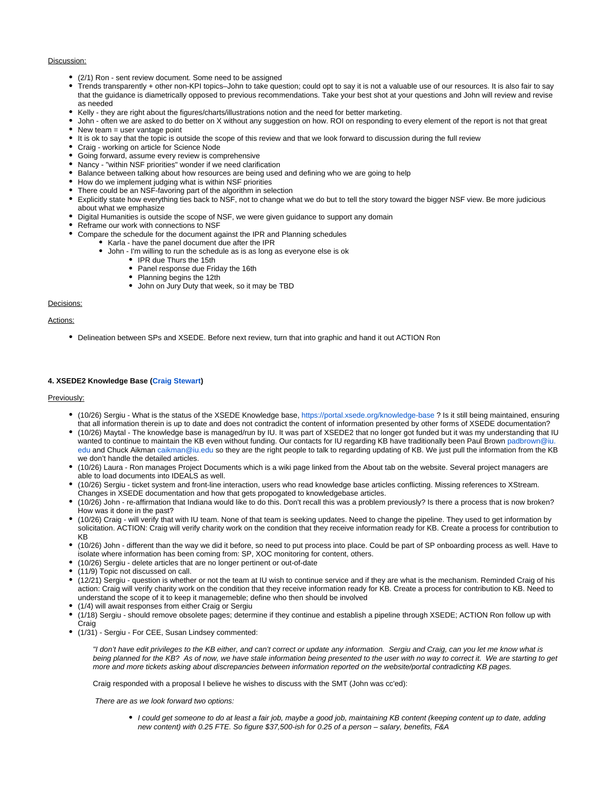# Discussion:

- (2/1) Ron sent review document. Some need to be assigned
- Trends transparently + other non-KPI topics–John to take question; could opt to say it is not a valuable use of our resources. It is also fair to say that the guidance is diametrically opposed to previous recommendations. Take your best shot at your questions and John will review and revise as needed
- Kelly they are right about the figures/charts/illustrations notion and the need for better marketing.
- John often we are asked to do better on X without any suggestion on how. ROI on responding to every element of the report is not that great
- $\bullet$  New team = user vantage point
- It is ok to say that the topic is outside the scope of this review and that we look forward to discussion during the full review
- Craig working on article for Science Node
- Going forward, assume every review is comprehensive
- Nancy "within NSF priorities" wonder if we need clarification
- Balance between talking about how resources are being used and defining who we are going to help
- How do we implement judging what is within NSF priorities
- There could be an NSF-favoring part of the algorithm in selection
- Explicitly state how everything ties back to NSF, not to change what we do but to tell the story toward the bigger NSF view. Be more judicious about what we emphasize
- Digital Humanities is outside the scope of NSF, we were given guidance to support any domain
- Reframe our work with connections to NSF
- Compare the schedule for the document against the IPR and Planning schedules
	- Karla have the panel document due after the IPR
	- John I'm willing to run the schedule as is as long as everyone else is ok
		- IPR due Thurs the 15th
		- Panel response due Friday the 16th
		- Planning begins the 12th
		- John on Jury Duty that week, so it may be TBD

# Decisions:

### Actions:

Delineation between SPs and XSEDE. Before next review, turn that into graphic and hand it out ACTION Ron

## **4. XSEDE2 Knowledge Base ([Craig Stewart](https://confluence.xsede.org/display/~stewart))**

#### Previously:

- (10/26) Sergiu What is the status of the XSEDE Knowledge base, <https://portal.xsede.org/knowledge-base>? Is it still being maintained, ensuring that all information therein is up to date and does not contradict the content of information presented by other forms of XSEDE documentation?
- (10/26) Maytal The knowledge base is managed/run by IU. It was part of XSEDE2 that no longer got funded but it was my understanding that IU wanted to continue to maintain the KB even without funding. Our contacts for IU regarding KB have traditionally been Paul Brown [padbrown@iu.](mailto:padbrown@iu.edu) [edu](mailto:padbrown@iu.edu) and Chuck Aikman [caikman@iu.edu](mailto:caikman@iu.edu) so they are the right people to talk to regarding updating of KB. We just pull the information from the KB we don't handle the detailed articles.
- (10/26) Laura Ron manages Project Documents which is a wiki page linked from the About tab on the website. Several project managers are able to load documents into IDEALS as well.
- (10/26) Sergiu ticket system and front-line interaction, users who read knowledge base articles conflicting. Missing references to XStream. Changes in XSEDE documentation and how that gets propogated to knowledgebase articles.
- (10/26) John re-affirmation that Indiana would like to do this. Don't recall this was a problem previously? Is there a process that is now broken? How was it done in the past?
- (10/26) Craig will verify that with IU team. None of that team is seeking updates. Need to change the pipeline. They used to get information by solicitation. ACTION: Craig will verify charity work on the condition that they receive information ready for KB. Create a process for contribution to KB
- (10/26) John different than the way we did it before, so need to put process into place. Could be part of SP onboarding process as well. Have to isolate where information has been coming from: SP, XOC monitoring for content, others.
- (10/26) Sergiu delete articles that are no longer pertinent or out-of-date
- (11/9) Topic not discussed on call.
- (12/21) Sergiu question is whether or not the team at IU wish to continue service and if they are what is the mechanism. Reminded Craig of his action: Craig will verify charity work on the condition that they receive information ready for KB. Create a process for contribution to KB. Need to understand the scope of it to keep it managemeble; define who then should be involved
- (1/4) will await responses from either Craig or Sergiu
- (1/18) Sergiu should remove obsolete pages; determine if they continue and establish a pipeline through XSEDE; ACTION Ron follow up with Craig
- (1/31) Sergiu For CEE, Susan Lindsey commented:

"I don't have edit privileges to the KB either, and can't correct or update any information. Sergiu and Craig, can you let me know what is being planned for the KB? As of now, we have stale information being presented to the user with no way to correct it. We are starting to get more and more tickets asking about discrepancies between information reported on the website/portal contradicting KB pages.

Craig responded with a proposal I believe he wishes to discuss with the SMT (John was cc'ed):

There are as we look forward two options:

I could get someone to do at least a fair job, maybe a good job, maintaining KB content (keeping content up to date, adding new content) with 0.25 FTE. So figure \$37,500-ish for 0.25 of a person – salary, benefits, F&A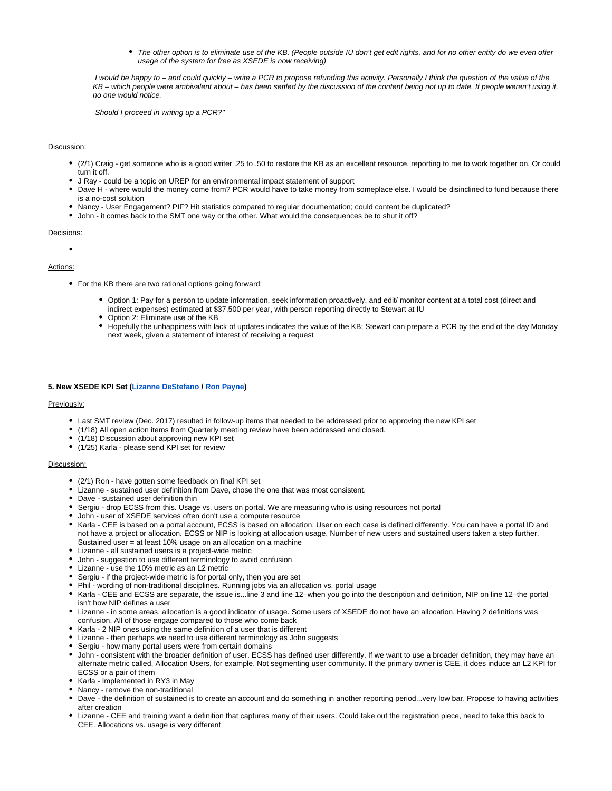The other option is to eliminate use of the KB. (People outside IU don't get edit rights, and for no other entity do we even offer usage of the system for free as XSEDE is now receiving)

 I would be happy to – and could quickly – write a PCR to propose refunding this activity. Personally I think the question of the value of the KB – which people were ambivalent about – has been settled by the discussion of the content being not up to date. If people weren't using it, no one would notice.

Should I proceed in writing up a PCR?"

# Discussion:

- (2/1) Craig get someone who is a good writer .25 to .50 to restore the KB as an excellent resource, reporting to me to work together on. Or could turn it off.
- J Ray could be a topic on UREP for an environmental impact statement of support
- Dave H where would the money come from? PCR would have to take money from someplace else. I would be disinclined to fund because there is a no-cost solution
- Nancy User Engagement? PIF? Hit statistics compared to regular documentation; could content be duplicated?
- John it comes back to the SMT one way or the other. What would the consequences be to shut it off?

#### Decisions:

# Actions:

- For the KB there are two rational options going forward:
	- Option 1: Pay for a person to update information, seek information proactively, and edit/ monitor content at a total cost (direct and indirect expenses) estimated at \$37,500 per year, with person reporting directly to Stewart at IU
	- Option 2: Eliminate use of the KB
	- Hopefully the unhappiness with lack of updates indicates the value of the KB; Stewart can prepare a PCR by the end of the day Monday next week, given a statement of interest of receiving a request

#### **5. New XSEDE KPI Set [\(Lizanne DeStefano](https://confluence.xsede.org/display/~destefan) / [Ron Payne](https://confluence.xsede.org/display/~rpayne))**

#### Previously:

- Last SMT review (Dec. 2017) resulted in follow-up items that needed to be addressed prior to approving the new KPI set
- (1/18) All open action items from Quarterly meeting review have been addressed and closed.
- (1/18) Discussion about approving new KPI set
- (1/25) Karla please send KPI set for review

## Discussion:

- (2/1) Ron have gotten some feedback on final KPI set
- Lizanne sustained user definition from Dave, chose the one that was most consistent.
- Dave sustained user definition thin
- Sergiu drop ECSS from this. Usage vs. users on portal. We are measuring who is using resources not portal
- John user of XSEDE services often don't use a compute resource
- Karla CEE is based on a portal account, ECSS is based on allocation. User on each case is defined differently. You can have a portal ID and not have a project or allocation. ECSS or NIP is looking at allocation usage. Number of new users and sustained users taken a step further. Sustained user = at least 10% usage on an allocation on a machine
- Lizanne all sustained users is a project-wide metric
- John suggestion to use different terminology to avoid confusion
- Lizanne use the 10% metric as an L2 metric
- Sergiu if the project-wide metric is for portal only, then you are set
- Phil wording of non-traditional disciplines. Running jobs via an allocation vs. portal usage
- Karla CEE and ECSS are separate, the issue is...line 3 and line 12–when you go into the description and definition, NIP on line 12–the portal isn't how NIP defines a user
- Lizanne in some areas, allocation is a good indicator of usage. Some users of XSEDE do not have an allocation. Having 2 definitions was confusion. All of those engage compared to those who come back
- Karla 2 NIP ones using the same definition of a user that is different
- Lizanne then perhaps we need to use different terminology as John suggests
- Sergiu how many portal users were from certain domains
- John consistent with the broader definition of user. ECSS has defined user differently. If we want to use a broader definition, they may have an alternate metric called, Allocation Users, for example. Not segmenting user community. If the primary owner is CEE, it does induce an L2 KPI for ECSS or a pair of them
- Karla Implemented in RY3 in May
- Nancy remove the non-traditional
- Dave the definition of sustained is to create an account and do something in another reporting period...very low bar. Propose to having activities after creation
- Lizanne CEE and training want a definition that captures many of their users. Could take out the registration piece, need to take this back to CEE. Allocations vs. usage is very different